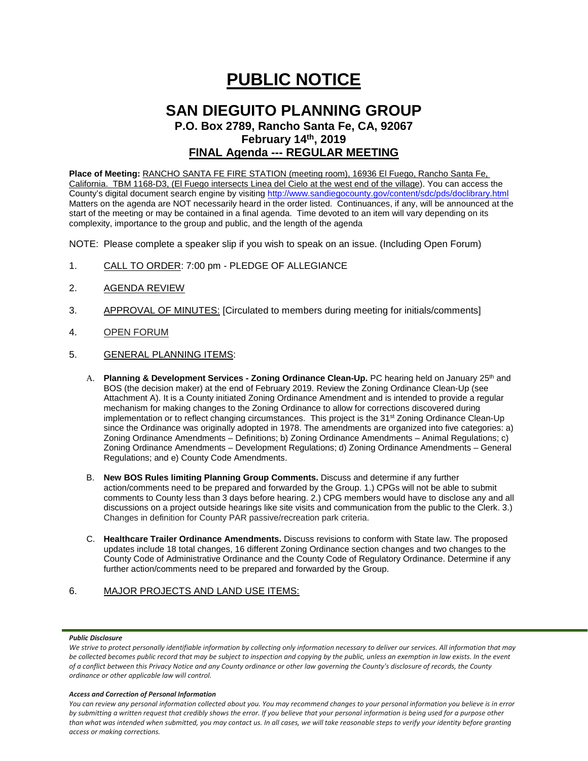# **PUBLIC NOTICE**

# **SAN DIEGUITO PLANNING GROUP P.O. Box 2789, Rancho Santa Fe, CA, 92067 February 14th, 2019 FINAL Agenda --- REGULAR MEETING**

**Place of Meeting:** RANCHO SANTA FE FIRE STATION (meeting room), 16936 El Fuego, Rancho Santa Fe, California. TBM 1168-D3, (El Fuego intersects Linea del Cielo at the west end of the village). You can access the County's digital document search engine by visitin[g http://www.sandiegocounty.gov/content/sdc/pds/doclibrary.html](http://www.sandiegocounty.gov/content/sdc/pds/doclibrary.html) Matters on the agenda are NOT necessarily heard in the order listed. Continuances, if any, will be announced at the start of the meeting or may be contained in a final agenda. Time devoted to an item will vary depending on its complexity, importance to the group and public, and the length of the agenda

NOTE: Please complete a speaker slip if you wish to speak on an issue. (Including Open Forum)

- 1. CALL TO ORDER: 7:00 pm PLEDGE OF ALLEGIANCE
- 2. AGENDA REVIEW
- 3. APPROVAL OF MINUTES: [Circulated to members during meeting for initials/comments]
- 4. OPEN FORUM
- 5. GENERAL PLANNING ITEMS:
	- A. **Planning & Development Services Zoning Ordinance Clean-Up.** PC hearing held on January 25<sup>th</sup> and BOS (the decision maker) at the end of February 2019. Review the Zoning Ordinance Clean-Up (see Attachment A). It is a County initiated Zoning Ordinance Amendment and is intended to provide a regular mechanism for making changes to the Zoning Ordinance to allow for corrections discovered during implementation or to reflect changing circumstances. This project is the 31<sup>st</sup> Zoning Ordinance Clean-Up since the Ordinance was originally adopted in 1978. The amendments are organized into five categories: a) Zoning Ordinance Amendments – Definitions; b) Zoning Ordinance Amendments – Animal Regulations; c) Zoning Ordinance Amendments – Development Regulations; d) Zoning Ordinance Amendments – General Regulations; and e) County Code Amendments.
	- B. **New BOS Rules limiting Planning Group Comments.** Discuss and determine if any further action/comments need to be prepared and forwarded by the Group. 1.) CPGs will not be able to submit comments to County less than 3 days before hearing. 2.) CPG members would have to disclose any and all discussions on a project outside hearings like site visits and communication from the public to the Clerk. 3.) Changes in definition for County PAR passive/recreation park criteria.
	- C. **Healthcare Trailer Ordinance Amendments.** Discuss revisions to conform with State law. The proposed updates include 18 total changes, 16 different Zoning Ordinance section changes and two changes to the County Code of Administrative Ordinance and the County Code of Regulatory Ordinance. Determine if any further action/comments need to be prepared and forwarded by the Group.

# 6. MAJOR PROJECTS AND LAND USE ITEMS:

#### *Public Disclosure*

#### *Access and Correction of Personal Information*

We strive to protect personally identifiable information by collecting only information necessary to deliver our services. All information that may *be collected becomes public record that may be subject to inspection and copying by the public, unless an exemption in law exists. In the event of a conflict between this Privacy Notice and any County ordinance or other law governing the County's disclosure of records, the County ordinance or other applicable law will control.*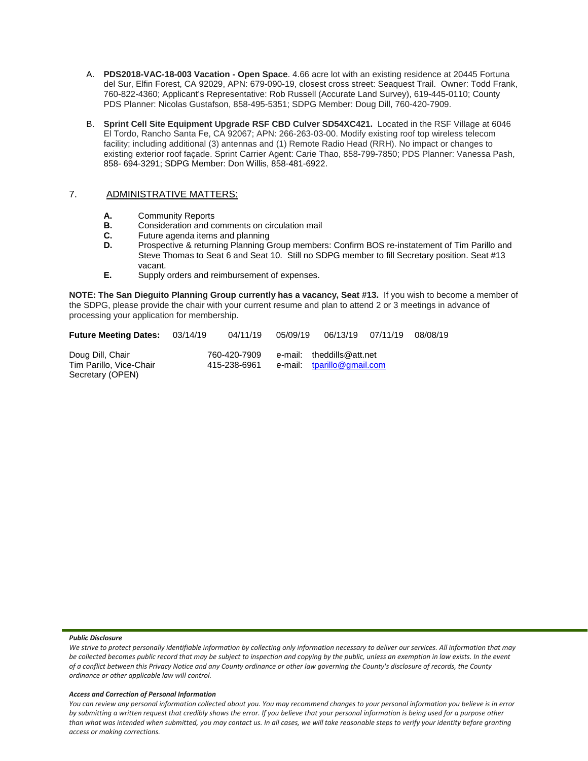- A. **PDS2018-VAC-18-003 Vacation - Open Space**. 4.66 acre lot with an existing residence at 20445 Fortuna del Sur, Elfin Forest, CA 92029, APN: 679-090-19, closest cross street: Seaquest Trail. Owner: Todd Frank, 760-822-4360; Applicant's Representative: Rob Russell (Accurate Land Survey), 619-445-0110; County PDS Planner: Nicolas Gustafson, 858-495-5351; SDPG Member: Doug Dill, 760-420-7909.
- B. **Sprint Cell Site Equipment Upgrade RSF CBD Culver SD54XC421.** Located in the RSF Village at 6046 El Tordo, Rancho Santa Fe, CA 92067; APN: 266-263-03-00. Modify existing roof top wireless telecom facility; including additional (3) antennas and (1) Remote Radio Head (RRH). No impact or changes to existing exterior roof façade. Sprint Carrier Agent: Carie Thao, 858-799-7850; PDS Planner: Vanessa Pash, 858- 694-3291; SDPG Member: Don Willis, 858-481-6922.

# 7. ADMINISTRATIVE MATTERS:

- **A.** Community Reports<br>**B.** Consideration and compared
- **B.** Consideration and comments on circulation mail
- **C.** Future agenda items and planning<br>**D.** Prospective & returning Planning G.
- Prospective & returning Planning Group members: Confirm BOS re-instatement of Tim Parillo and Steve Thomas to Seat 6 and Seat 10. Still no SDPG member to fill Secretary position. Seat #13 vacant.
- **E.** Supply orders and reimbursement of expenses.

**NOTE: The San Dieguito Planning Group currently has a vacancy, Seat #13.** If you wish to become a member of the SDPG, please provide the chair with your current resume and plan to attend 2 or 3 meetings in advance of processing your application for membership.

| <b>Future Meeting Dates:</b>                | 03/14/19                     | 04/11/19 | 05/09/19 |                                                         | 06/13/19 07/11/19 | 08/08/19 |
|---------------------------------------------|------------------------------|----------|----------|---------------------------------------------------------|-------------------|----------|
| Doug Dill, Chair<br>Tim Parillo, Vice-Chair | 760-420-7909<br>415-238-6961 |          |          | e-mail: theddills@att.net<br>e-mail: tparillo@gmail.com |                   |          |
| Secretary (OPEN)                            |                              |          |          |                                                         |                   |          |

#### *Public Disclosure*

#### *Access and Correction of Personal Information*

We strive to protect personally identifiable information by collecting only information necessary to deliver our services. All information that may *be collected becomes public record that may be subject to inspection and copying by the public, unless an exemption in law exists. In the event of a conflict between this Privacy Notice and any County ordinance or other law governing the County's disclosure of records, the County ordinance or other applicable law will control.*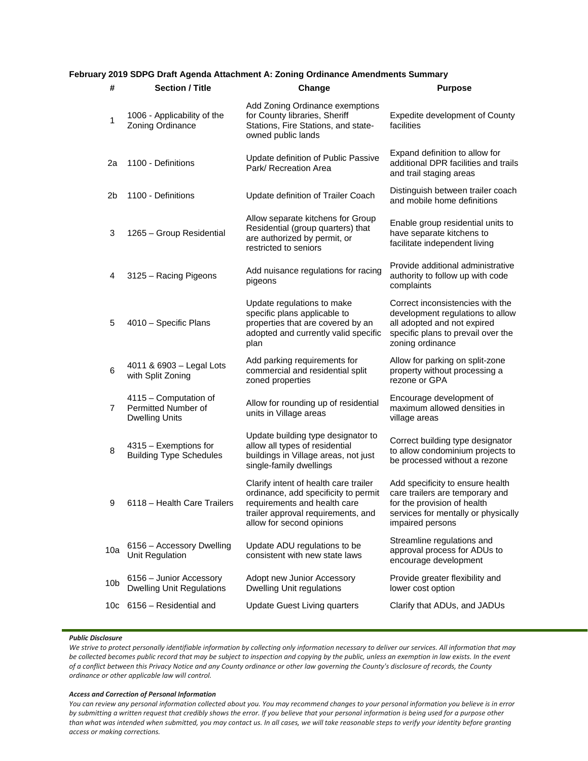# **February 2019 SDPG Draft Agenda Attachment A: Zoning Ordinance Amendments Summary**

| #   | <b>Section / Title</b>                                                | Change                                                                                                                                                                           | <b>Purpose</b>                                                                                                                                                |  |
|-----|-----------------------------------------------------------------------|----------------------------------------------------------------------------------------------------------------------------------------------------------------------------------|---------------------------------------------------------------------------------------------------------------------------------------------------------------|--|
| 1   | 1006 - Applicability of the<br>Zoning Ordinance                       | Add Zoning Ordinance exemptions<br>for County libraries, Sheriff<br>Stations, Fire Stations, and state-<br>owned public lands                                                    | Expedite development of County<br>facilities                                                                                                                  |  |
| 2a  | 1100 - Definitions                                                    | Update definition of Public Passive<br>Park/ Recreation Area                                                                                                                     | Expand definition to allow for<br>additional DPR facilities and trails<br>and trail staging areas                                                             |  |
| 2b  | 1100 - Definitions                                                    | Update definition of Trailer Coach                                                                                                                                               | Distinguish between trailer coach<br>and mobile home definitions                                                                                              |  |
| 3   | 1265 - Group Residential                                              | Allow separate kitchens for Group<br>Residential (group quarters) that<br>are authorized by permit, or<br>restricted to seniors                                                  | Enable group residential units to<br>have separate kitchens to<br>facilitate independent living                                                               |  |
| 4   | 3125 - Racing Pigeons                                                 | Add nuisance regulations for racing<br>pigeons                                                                                                                                   | Provide additional administrative<br>authority to follow up with code<br>complaints                                                                           |  |
| 5   | 4010 - Specific Plans                                                 | Update regulations to make<br>specific plans applicable to<br>properties that are covered by an<br>adopted and currently valid specific<br>plan                                  | Correct inconsistencies with the<br>development regulations to allow<br>all adopted and not expired<br>specific plans to prevail over the<br>zoning ordinance |  |
| 6   | 4011 & 6903 - Legal Lots<br>with Split Zoning                         | Add parking requirements for<br>commercial and residential split<br>zoned properties                                                                                             | Allow for parking on split-zone<br>property without processing a<br>rezone or GPA                                                                             |  |
| 7   | 4115 - Computation of<br>Permitted Number of<br><b>Dwelling Units</b> | Allow for rounding up of residential<br>units in Village areas                                                                                                                   | Encourage development of<br>maximum allowed densities in<br>village areas                                                                                     |  |
| 8   | 4315 - Exemptions for<br><b>Building Type Schedules</b>               | Update building type designator to<br>allow all types of residential<br>buildings in Village areas, not just<br>single-family dwellings                                          | Correct building type designator<br>to allow condominium projects to<br>be processed without a rezone                                                         |  |
| 9   | 6118 - Health Care Trailers                                           | Clarify intent of health care trailer<br>ordinance, add specificity to permit<br>requirements and health care<br>trailer approval requirements, and<br>allow for second opinions | Add specificity to ensure health<br>care trailers are temporary and<br>for the provision of health<br>services for mentally or physically<br>impaired persons |  |
| 10a | 6156 - Accessory Dwelling<br>Unit Regulation                          | Update ADU regulations to be<br>consistent with new state laws                                                                                                                   | Streamline regulations and<br>approval process for ADUs to<br>encourage development                                                                           |  |
| 10b | 6156 - Junior Accessory<br><b>Dwelling Unit Regulations</b>           | Adopt new Junior Accessory<br><b>Dwelling Unit regulations</b>                                                                                                                   | Provide greater flexibility and<br>lower cost option                                                                                                          |  |
| 10c | 6156 - Residential and                                                | <b>Update Guest Living quarters</b>                                                                                                                                              | Clarify that ADUs, and JADUs                                                                                                                                  |  |

#### *Public Disclosure*

We strive to protect personally identifiable information by collecting only information necessary to deliver our services. All information that may *be collected becomes public record that may be subject to inspection and copying by the public, unless an exemption in law exists. In the event of a conflict between this Privacy Notice and any County ordinance or other law governing the County's disclosure of records, the County ordinance or other applicable law will control.*

#### *Access and Correction of Personal Information*